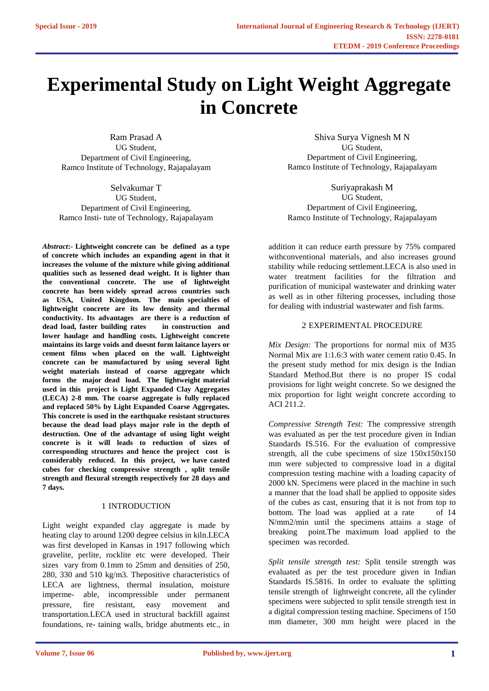# **Experimental Study on Light Weight Aggregate in Concrete**

Ram Prasad A UG Student, Department of Civil Engineering, Ramco Institute of Technology, Rajapalayam

Selvakumar T UG Student, Department of Civil Engineering, Ramco Insti- tute of Technology, Rajapalayam

*Abstract***:- Lightweight concrete can be defined as a type of concrete which includes an expanding agent in that it increases the volume of the mixture while giving additional qualities such as lessened dead weight. It is lighter than the conventional concrete. The use of lightweight concrete has been widely spread across countries such as USA, United Kingdom. The main specialties of lightweight concrete are its low density and thermal conductivity. Its advantages are there is a reduction of dead load, faster building rates in construction and lower haulage and handling costs. Lightweight concrete maintains its large voids and doesnt form laitance layers or cement films when placed on the wall. Lightweight concrete can be manufactured by using several light weight materials instead of coarse aggregate which forms the major dead load. The lightweight material used in this project is Light Expanded Clay Aggregates (LECA) 2-8 mm. The coarse aggregate is fully replaced and replaced 50% by Light Expanded Coarse Aggregates. This concrete is used in the earthquake resistant structures because the dead load plays major role in the depth of destruction. One of the advantage of using light weight concrete is it will leads to reduction of sizes of corresponding structures and hence the project cost is considerably reduced. In this project, we have casted cubes for checking compressive strength , split tensile strength and flexural strength respectively for 28 days and 7 days.**

## 1 INTRODUCTION

Light weight expanded clay aggregate is made by heating clay to around 1200 degree celsius in kiln.LECA was first developed in Kansas in 1917 following which gravelite, perlite, rocklite etc were developed. Their sizes vary from 0.1mm to 25mm and densities of 250, 280, 330 and 510 kg/m3. Thepositive characteristics of LECA are lightness, thermal insulation, moisture imperme- able, incompressible under permanent pressure, fire resistant, easy movement and transportation.LECA used in structural backfill against foundations, re- taining walls, bridge abutments etc., in

Shiva Surya Vignesh M N UG Student, Department of Civil Engineering, Ramco Institute of Technology, Rajapalayam

Suriyaprakash M UG Student, Department of Civil Engineering, Ramco Institute of Technology, Rajapalayam

addition it can reduce earth pressure by 75% compared withconventional materials, and also increases ground stability while reducing settlement.LECA is also used in water treatment facilities for the filtration and purification of municipal wastewater and drinking water as well as in other filtering processes, including those for dealing with industrial wastewater and fish farms.

### 2 EXPERIMENTAL PROCEDURE

*Mix Design:* The proportions for normal mix of M35 Normal Mix are 1:1.6:3 with water cement ratio 0.45. In the present study method for mix design is the Indian Standard Method.But there is no proper IS codal provisions for light weight concrete. So we designed the mix proportion for light weight concrete according to ACI 211.2.

*Compressive Strength Test:* The compressive strength was evaluated as per the test procedure given in Indian Standards IS.516. For the evaluation of compressive strength, all the cube specimens of size 150x150x150 mm were subjected to compressive load in a digital compression testing machine with a loading capacity of 2000 kN. Specimens were placed in the machine in such a manner that the load shall be applied to opposite sides of the cubes as cast, ensuring that it is not from top to bottom. The load was applied at a rate of 14 N/mm2/min until the specimens attains a stage of breaking point.The maximum load applied to the specimen was recorded.

*Split tensile strength test:* Split tensile strength was evaluated as per the test procedure given in Indian Standards IS.5816. In order to evaluate the splitting tensile strength of lightweight concrete, all the cylinder specimens were subjected to split tensile strength test in a digital compression testing machine. Specimens of 150 mm diameter, 300 mm height were placed in the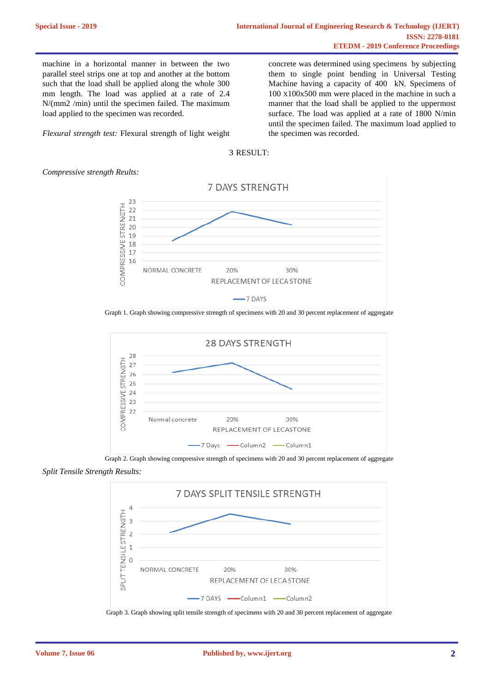machine in a horizontal manner in between the two parallel steel strips one at top and another at the bottom such that the load shall be applied along the whole 300 mm length. The load was applied at a rate of 2.4 N/(mm2 /min) until the specimen failed. The maximum load applied to the specimen was recorded.

*Flexural strength test:* Flexural strength of light weight

concrete was determined using specimens by subjecting them to single point bending in Universal Testing Machine having a capacity of 400 kN. Specimens of 100 X100x500 mm were placed in the machine in such a manner that the load shall be applied to the uppermost surface. The load was applied at a rate of 1800 N/min until the specimen failed. The maximum load applied to the specimen was recorded.



*Compressive strength Reults:*



Graph 1. Graph showing compressive strength of specimens with 20 and 30 percent replacement of aggregate



Graph 2. Graph showing compressive strength of specimens with 20 and 30 percent replacement of aggregate *Split Tensile Strength Results:*



Graph 3. Graph showing split tensile strength of specimens with 20 and 30 percent replacement of aggregate